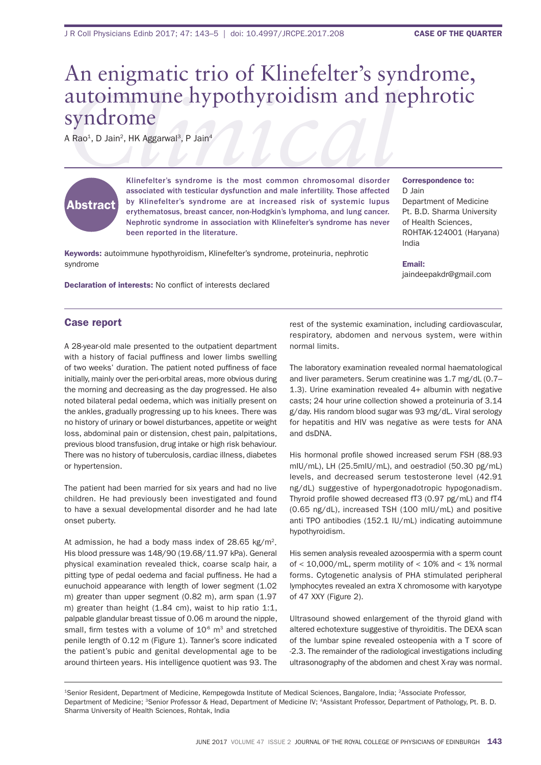# **COLINIMATE:**<br>
A Rao<sup>1</sup>, D Jain<sup>2</sup>, HK Aggarwal<sup>3</sup>, P Jain<sup>4</sup><br> *Clinefelter's* syndrome is the most common chromosomal disorder Correspondence to: An enigmatic trio of Klinefelter's syndrome, syndrome

A Rao<sup>1</sup>, D Jain<sup>2</sup>, HK Aggarwal<sup>3</sup>, P Jain<sup>4</sup>

# Abstract

Klinefelter's syndrome is the most common chromosomal disorder associated with testicular dysfunction and male infertility. Those affected by Klinefelter's syndrome are at increased risk of systemic lupus erythematosus, breast cancer, non-Hodgkin's lymphoma, and lung cancer. Nephrotic syndrome in association with Klinefelter's syndrome has never been reported in the literature.

Keywords: autoimmune hypothyroidism, Klinefelter's syndrome, proteinuria, nephrotic syndrome

### Correspondence to:

D Jain Department of Medicine Pt. B.D. Sharma University of health sciences, rohtaK-124001 (haryana) india

### Email:

jaindeepakdr@gmail.com

**Declaration of interests: No conflict of interests declared** 

## Case report

a 28-year-old male presented to the outpatient department with a history of facial puffiness and lower limbs swelling of two weeks' duration. The patient noted puffiness of face initially, mainly over the peri-orbital areas, more obvious during the morning and decreasing as the day progressed. he also noted bilateral pedal oedema, which was initially present on the ankles, gradually progressing up to his knees. There was no history of urinary or bowel disturbances, appetite or weight loss, abdominal pain or distension, chest pain, palpitations, previous blood transfusion, drug intake or high risk behaviour. There was no history of tuberculosis, cardiac illness, diabetes or hypertension.

The patient had been married for six years and had no live children. he had previously been investigated and found to have a sexual developmental disorder and he had late onset puberty.

At admission, he had a body mass index of  $28.65 \text{ kg/m}^2$ . his blood pressure was 148/90 (19.68/11.97 kPa). general physical examination revealed thick, coarse scalp hair, a pitting type of pedal oedema and facial puffiness. He had a eunuchoid appearance with length of lower segment (1.02 m) greater than upper segment (0.82 m), arm span (1.97 m) greater than height (1.84 cm), waist to hip ratio 1:1, palpable glandular breast tissue of 0.06 m around the nipple, small, firm testes with a volume of  $10<sup>6</sup>$  m<sup>3</sup> and stretched penile length of 0.12 m (Figure 1). Tanner's score indicated the patient's pubic and genital developmental age to be around thirteen years. His intelligence quotient was 93. The

rest of the systemic examination, including cardiovascular, respiratory, abdomen and nervous system, were within normal limits.

The laboratory examination revealed normal haematological and liver parameters. Serum creatinine was 1.7 mg/dL (0.7– 1.3). Urine examination revealed 4+ albumin with negative casts; 24 hour urine collection showed a proteinuria of 3.14 g/day. His random blood sugar was 93 mg/dL. Viral serology for hepatitis and HIV was negative as were tests for ANA and dsDNA.

His hormonal profile showed increased serum FSH (88.93 miU/ml), lh (25.5miU/ml), and oestradiol (50.30 pg/ml) levels, and decreased serum testosterone level (42.91 ng/dl) suggestive of hypergonadotropic hypogonadism. Thyroid profile showed decreased  $f3$  (0.97 pg/mL) and  $f14$  $(0.65 \text{ ng/dL})$ , increased TSH  $(100 \text{ mlU/mL})$  and positive anti TPO antibodies (152.1 IU/mL) indicating autoimmune hypothyroidism.

his semen analysis revealed azoospermia with a sperm count of  $<$  10,000/mL, sperm motility of  $<$  10% and  $<$  1% normal forms. Cytogenetic analysis of Pha stimulated peripheral lymphocytes revealed an extra X chromosome with karyotype of 47 XXy (figure 2).

Ultrasound showed enlargement of the thyroid gland with altered echotexture suggestive of thyroiditis. The DEXA scan of the lumbar spine revealed osteopenia with a T score of -2.3. The remainder of the radiological investigations including ultrasonography of the abdomen and chest X-ray was normal.

<sup>1</sup>Senior Resident, Department of Medicine, Kempegowda Institute of Medical Sciences, Bangalore, India; <sup>2</sup>Associate Professor, Department of Medicine; <sup>3</sup>Senior Professor & Head, Department of Medicine IV; <sup>4</sup>Assistant Professor, Department of Pathology, Pt. B. D. Sharma University of Health Sciences, Rohtak, India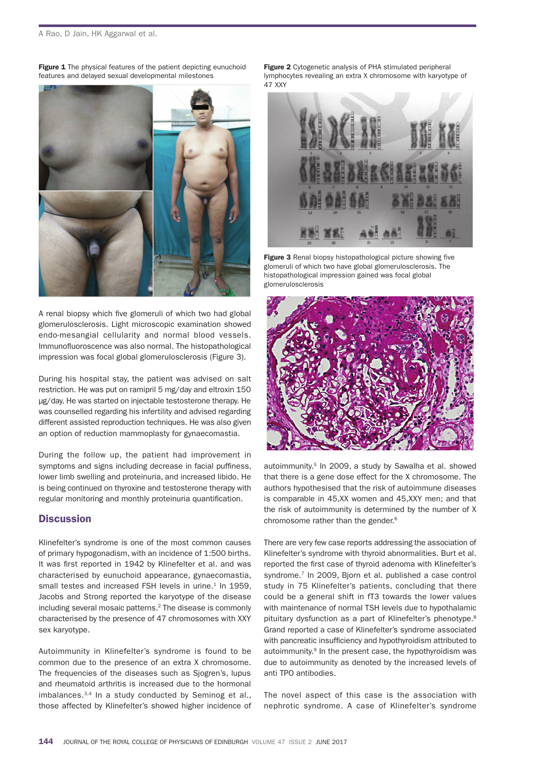Figure 1 The physical features of the patient depicting eunuchoid features and delayed sexual developmental milestones



A renal biopsy which five glomeruli of which two had global glomerulosclerosis. light microscopic examination showed endo-mesangial cellularity and normal blood vessels. Immunofluoroscence was also normal. The histopathological impression was focal global glomerulosclerosis (figure 3).

During his hospital stay, the patient was advised on salt restriction. he was put on ramipril 5 mg/day and eltroxin 150 µg/day. he was started on injectable testosterone therapy. he was counselled regarding his infertility and advised regarding different assisted reproduction techniques. he was also given an option of reduction mammoplasty for gynaecomastia.

During the follow up, the patient had improvement in symptoms and signs including decrease in facial puffiness, lower limb swelling and proteinuria, and increased libido. he is being continued on thyroxine and testosterone therapy with regular monitoring and monthly proteinuria quantification.

# **Discussion**

Klinefelter's syndrome is one of the most common causes of primary hypogonadism, with an incidence of 1:500 births. It was first reported in 1942 by Klinefelter et al. and was characterised by eunuchoid appearance, gynaecomastia, small testes and increased FSH levels in urine.<sup>1</sup> In 1959, Jacobs and strong reported the karyotype of the disease including several mosaic patterns.<sup>2</sup> The disease is commonly characterised by the presence of 47 chromosomes with XXy sex karyotype.

autoimmunity in Klinefelter's syndrome is found to be common due to the presence of an extra X chromosome. The frequencies of the diseases such as Siogren's, lupus and rheumatoid arthritis is increased due to the hormonal imbalances.<sup>3,4</sup> In a study conducted by Seminog et al., those affected by Klinefelter's showed higher incidence of **Figure 2** Cytogenetic analysis of PHA stimulated peripheral lymphocytes revealing an extra X chromosome with karyotype of 47 XXy



Figure 3 Renal biopsy histopathological picture showing five glomeruli of which two have global glomerulosclerosis. The histopathological impression gained was focal global glomerulosclerosis



autoimmunity.<sup>5</sup> In 2009, a study by Sawalha et al. showed that there is a gene dose effect for the X chromosome. The authors hypothesised that the risk of autoimmune diseases is comparable in 45,XX women and 45,XXy men; and that the risk of autoimmunity is determined by the number of X chromosome rather than the gender.6

There are very few case reports addressing the association of Klinefelter's syndrome with thyroid abnormalities. burt et al. reported the first case of thyroid adenoma with Klinefelter's syndrome.<sup>7</sup> In 2009, Bjorn et al. published a case control study in 75 Klinefelter's patients, concluding that there could be a general shift in ft3 towards the lower values with maintenance of normal TSH levels due to hypothalamic pituitary dysfunction as a part of Klinefelter's phenotype.<sup>8</sup> grand reported a case of Klinefelter's syndrome associated with pancreatic insufficiency and hypothyroidism attributed to autoimmunity.<sup>9</sup> In the present case, the hypothyroidism was due to autoimmunity as denoted by the increased levels of anti tPo antibodies.

The novel aspect of this case is the association with nephrotic syndrome. A case of Klinefelter's syndrome